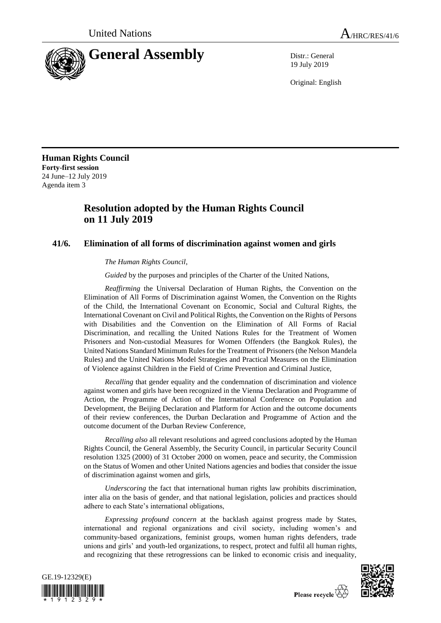

19 July 2019

Original: English

**Human Rights Council Forty-first session** 24 June–12 July 2019 Agenda item 3

## **Resolution adopted by the Human Rights Council on 11 July 2019**

## **41/6. Elimination of all forms of discrimination against women and girls**

*The Human Rights Council*,

*Guided* by the purposes and principles of the Charter of the United Nations,

*Reaffirming* the Universal Declaration of Human Rights, the Convention on the Elimination of All Forms of Discrimination against Women, the Convention on the Rights of the Child, the International Covenant on Economic, Social and Cultural Rights, the International Covenant on Civil and Political Rights, the Convention on the Rights of Persons with Disabilities and the Convention on the Elimination of All Forms of Racial Discrimination, and recalling the United Nations Rules for the Treatment of Women Prisoners and Non-custodial Measures for Women Offenders (the Bangkok Rules), the United Nations Standard Minimum Rules for the Treatment of Prisoners (the Nelson Mandela Rules) and the United Nations Model Strategies and Practical Measures on the Elimination of Violence against Children in the Field of Crime Prevention and Criminal Justice,

*Recalling* that gender equality and the condemnation of discrimination and violence against women and girls have been recognized in the Vienna Declaration and Programme of Action, the Programme of Action of the International Conference on Population and Development, the Beijing Declaration and Platform for Action and the outcome documents of their review conferences, the Durban Declaration and Programme of Action and the outcome document of the Durban Review Conference,

*Recalling also* all relevant resolutions and agreed conclusions adopted by the Human Rights Council, the General Assembly, the Security Council, in particular Security Council resolution 1325 (2000) of 31 October 2000 on women, peace and security, the Commission on the Status of Women and other United Nations agencies and bodies that consider the issue of discrimination against women and girls,

*Underscoring* the fact that international human rights law prohibits discrimination, inter alia on the basis of gender, and that national legislation, policies and practices should adhere to each State's international obligations,

*Expressing profound concern* at the backlash against progress made by States, international and regional organizations and civil society, including women's and community-based organizations, feminist groups, women human rights defenders, trade unions and girls' and youth-led organizations, to respect, protect and fulfil all human rights, and recognizing that these retrogressions can be linked to economic crisis and inequality,



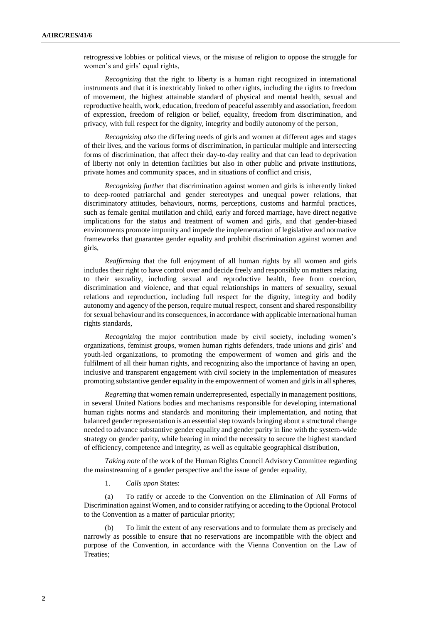retrogressive lobbies or political views, or the misuse of religion to oppose the struggle for women's and girls' equal rights,

*Recognizing* that the right to liberty is a human right recognized in international instruments and that it is inextricably linked to other rights, including the rights to freedom of movement, the highest attainable standard of physical and mental health, sexual and reproductive health, work, education, freedom of peaceful assembly and association, freedom of expression, freedom of religion or belief, equality, freedom from discrimination, and privacy, with full respect for the dignity, integrity and bodily autonomy of the person,

*Recognizing also* the differing needs of girls and women at different ages and stages of their lives, and the various forms of discrimination, in particular multiple and intersecting forms of discrimination, that affect their day-to-day reality and that can lead to deprivation of liberty not only in detention facilities but also in other public and private institutions, private homes and community spaces, and in situations of conflict and crisis,

*Recognizing further* that discrimination against women and girls is inherently linked to deep-rooted patriarchal and gender stereotypes and unequal power relations, that discriminatory attitudes, behaviours, norms, perceptions, customs and harmful practices, such as female genital mutilation and child, early and forced marriage, have direct negative implications for the status and treatment of women and girls, and that gender-biased environments promote impunity and impede the implementation of legislative and normative frameworks that guarantee gender equality and prohibit discrimination against women and girls,

*Reaffirming* that the full enjoyment of all human rights by all women and girls includes their right to have control over and decide freely and responsibly on matters relating to their sexuality, including sexual and reproductive health, free from coercion, discrimination and violence, and that equal relationships in matters of sexuality, sexual relations and reproduction, including full respect for the dignity, integrity and bodily autonomy and agency of the person, require mutual respect, consent and shared responsibility for sexual behaviour and its consequences, in accordance with applicable international human rights standards,

*Recognizing* the major contribution made by civil society, including women's organizations, feminist groups, women human rights defenders, trade unions and girls' and youth-led organizations, to promoting the empowerment of women and girls and the fulfilment of all their human rights, and recognizing also the importance of having an open, inclusive and transparent engagement with civil society in the implementation of measures promoting substantive gender equality in the empowerment of women and girls in allspheres,

*Regretting* that women remain underrepresented, especially in management positions, in several United Nations bodies and mechanisms responsible for developing international human rights norms and standards and monitoring their implementation, and noting that balanced gender representation is an essential step towards bringing about a structural change needed to advance substantive gender equality and gender parity in line with the system-wide strategy on gender parity, while bearing in mind the necessity to secure the highest standard of efficiency, competence and integrity, as well as equitable geographical distribution,

*Taking note* of the work of the Human Rights Council Advisory Committee regarding the mainstreaming of a gender perspective and the issue of gender equality,

1. *Calls upon* States:

(a) To ratify or accede to the Convention on the Elimination of All Forms of Discrimination against Women, and to consider ratifying or acceding to the Optional Protocol to the Convention as a matter of particular priority;

To limit the extent of any reservations and to formulate them as precisely and narrowly as possible to ensure that no reservations are incompatible with the object and purpose of the Convention, in accordance with the Vienna Convention on the Law of Treaties;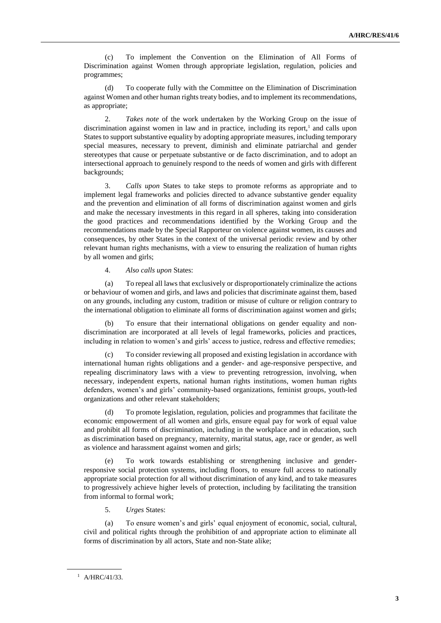(c) To implement the Convention on the Elimination of All Forms of Discrimination against Women through appropriate legislation, regulation, policies and programmes;

(d) To cooperate fully with the Committee on the Elimination of Discrimination against Women and other human rights treaty bodies, and to implement its recommendations, as appropriate;

2. *Takes note* of the work undertaken by the Working Group on the issue of discrimination against women in law and in practice, including its report, $<sup>1</sup>$  and calls upon</sup> States to support substantive equality by adopting appropriate measures, including temporary special measures, necessary to prevent, diminish and eliminate patriarchal and gender stereotypes that cause or perpetuate substantive or de facto discrimination, and to adopt an intersectional approach to genuinely respond to the needs of women and girls with different backgrounds;

3. *Calls upon* States to take steps to promote reforms as appropriate and to implement legal frameworks and policies directed to advance substantive gender equality and the prevention and elimination of all forms of discrimination against women and girls and make the necessary investments in this regard in all spheres, taking into consideration the good practices and recommendations identified by the Working Group and the recommendations made by the Special Rapporteur on violence against women, its causes and consequences, by other States in the context of the universal periodic review and by other relevant human rights mechanisms, with a view to ensuring the realization of human rights by all women and girls;

4. *Also calls upon* States:

(a) To repeal all laws that exclusively or disproportionately criminalize the actions or behaviour of women and girls, and laws and policies that discriminate against them, based on any grounds, including any custom, tradition or misuse of culture or religion contrary to the international obligation to eliminate all forms of discrimination against women and girls;

(b) To ensure that their international obligations on gender equality and nondiscrimination are incorporated at all levels of legal frameworks, policies and practices, including in relation to women's and girls' access to justice, redress and effective remedies;

To consider reviewing all proposed and existing legislation in accordance with international human rights obligations and a gender- and age-responsive perspective, and repealing discriminatory laws with a view to preventing retrogression, involving, when necessary, independent experts, national human rights institutions, women human rights defenders, women's and girls' community-based organizations, feminist groups, youth-led organizations and other relevant stakeholders;

(d) To promote legislation, regulation, policies and programmes that facilitate the economic empowerment of all women and girls, ensure equal pay for work of equal value and prohibit all forms of discrimination, including in the workplace and in education, such as discrimination based on pregnancy, maternity, marital status, age, race or gender, as well as violence and harassment against women and girls;

(e) To work towards establishing or strengthening inclusive and genderresponsive social protection systems, including floors, to ensure full access to nationally appropriate social protection for all without discrimination of any kind, and to take measures to progressively achieve higher levels of protection, including by facilitating the transition from informal to formal work;

5. *Urges* States:

(a) To ensure women's and girls' equal enjoyment of economic, social, cultural, civil and political rights through the prohibition of and appropriate action to eliminate all forms of discrimination by all actors, State and non-State alike;

<sup>1</sup> A/HRC/41/33.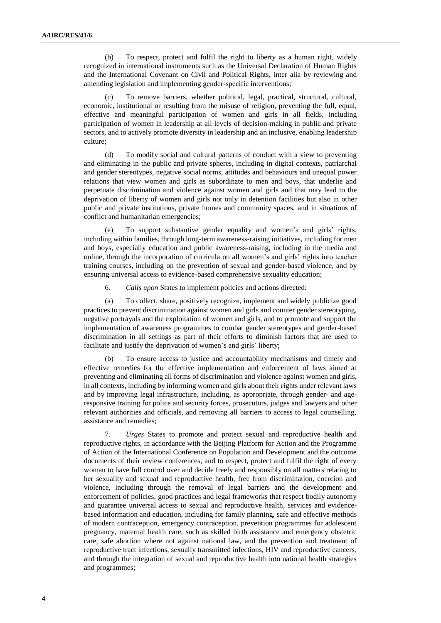(b) To respect, protect and fulfil the right to liberty as a human right, widely recognized in international instruments such as the Universal Declaration of Human Rights and the International Covenant on Civil and Political Rights, inter alia by reviewing and amending legislation and implementing gender-specific interventions;

To remove barriers, whether political, legal, practical, structural, cultural, economic, institutional or resulting from the misuse of religion, preventing the full, equal, effective and meaningful participation of women and girls in all fields, including participation of women in leadership at all levels of decision-making in public and private sectors, and to actively promote diversity in leadership and an inclusive, enabling leadership culture;

(d) To modify social and cultural patterns of conduct with a view to preventing and eliminating in the public and private spheres, including in digital contexts, patriarchal and gender stereotypes, negative social norms, attitudes and behaviours and unequal power relations that view women and girls as subordinate to men and boys, that underlie and perpetuate discrimination and violence against women and girls and that may lead to the deprivation of liberty of women and girls not only in detention facilities but also in other public and private institutions, private homes and community spaces, and in situations of conflict and humanitarian emergencies;

To support substantive gender equality and women's and girls' rights, including within families, through long-term awareness-raising initiatives, including for men and boys, especially education and public awareness-raising, including in the media and online, through the incorporation of curricula on all women's and girls' rights into teacher training courses, including on the prevention of sexual and gender-based violence, and by ensuring universal access to evidence-based comprehensive sexuality education;

6. *Calls upon* States to implement policies and actions directed:

(a) To collect, share, positively recognize, implement and widely publicize good practices to prevent discrimination against women and girls and counter gender stereotyping, negative portrayals and the exploitation of women and girls, and to promote and support the implementation of awareness programmes to combat gender stereotypes and gender-based discrimination in all settings as part of their efforts to diminish factors that are used to facilitate and justify the deprivation of women's and girls' liberty;

(b) To ensure access to justice and accountability mechanisms and timely and effective remedies for the effective implementation and enforcement of laws aimed at preventing and eliminating all forms of discrimination and violence against women and girls, in all contexts, including by informing women and girls about their rights under relevant laws and by improving legal infrastructure, including, as appropriate, through gender- and ageresponsive training for police and security forces, prosecutors, judges and lawyers and other relevant authorities and officials, and removing all barriers to access to legal counselling, assistance and remedies;

7. *Urges* States to promote and protect sexual and reproductive health and reproductive rights, in accordance with the Beijing Platform for Action and the Programme of Action of the International Conference on Population and Development and the outcome documents of their review conferences, and to respect, protect and fulfil the right of every woman to have full control over and decide freely and responsibly on all matters relating to her sexuality and sexual and reproductive health, free from discrimination, coercion and violence, including through the removal of legal barriers and the development and enforcement of policies, good practices and legal frameworks that respect bodily autonomy and guarantee universal access to sexual and reproductive health, services and evidencebased information and education, including for family planning, safe and effective methods of modern contraception, emergency contraception, prevention programmes for adolescent pregnancy, maternal health care, such as skilled birth assistance and emergency obstetric care, safe abortion where not against national law, and the prevention and treatment of reproductive tract infections, sexually transmitted infections, HIV and reproductive cancers, and through the integration of sexual and reproductive health into national health strategies and programmes;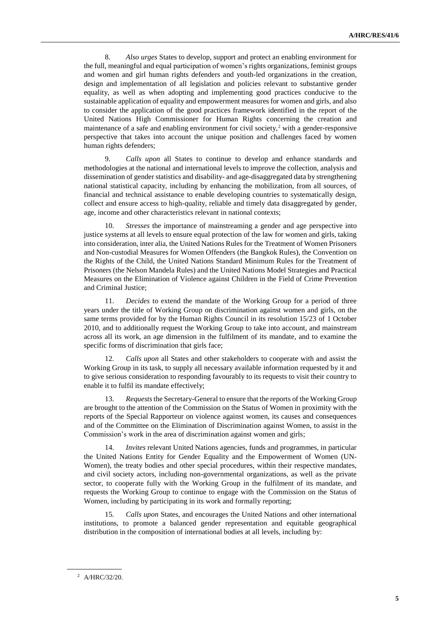8. *Also urges* States to develop, support and protect an enabling environment for the full, meaningful and equal participation of women's rights organizations, feminist groups and women and girl human rights defenders and youth-led organizations in the creation, design and implementation of all legislation and policies relevant to substantive gender equality, as well as when adopting and implementing good practices conducive to the sustainable application of equality and empowerment measures for women and girls, and also to consider the application of the good practices framework identified in the report of the United Nations High Commissioner for Human Rights concerning the creation and maintenance of a safe and enabling environment for civil society, $2$  with a gender-responsive perspective that takes into account the unique position and challenges faced by women human rights defenders;

9. *Calls upon* all States to continue to develop and enhance standards and methodologies at the national and international levels to improve the collection, analysis and dissemination of gender statistics and disability- and age-disaggregated data by strengthening national statistical capacity, including by enhancing the mobilization, from all sources, of financial and technical assistance to enable developing countries to systematically design, collect and ensure access to high-quality, reliable and timely data disaggregated by gender, age, income and other characteristics relevant in national contexts;

10. *Stresses* the importance of mainstreaming a gender and age perspective into justice systems at all levels to ensure equal protection of the law for women and girls, taking into consideration, inter alia, the United Nations Rules for the Treatment of Women Prisoners and Non-custodial Measures for Women Offenders (the Bangkok Rules), the Convention on the Rights of the Child, the United Nations Standard Minimum Rules for the Treatment of Prisoners (the Nelson Mandela Rules) and the United Nations Model Strategies and Practical Measures on the Elimination of Violence against Children in the Field of Crime Prevention and Criminal Justice;

11. *Decides* to extend the mandate of the Working Group for a period of three years under the title of Working Group on discrimination against women and girls, on the same terms provided for by the Human Rights Council in its resolution 15/23 of 1 October 2010, and to additionally request the Working Group to take into account, and mainstream across all its work, an age dimension in the fulfilment of its mandate, and to examine the specific forms of discrimination that girls face;

12. *Calls upon* all States and other stakeholders to cooperate with and assist the Working Group in its task, to supply all necessary available information requested by it and to give serious consideration to responding favourably to its requests to visit their country to enable it to fulfil its mandate effectively;

13. *Requests*the Secretary-General to ensure that the reports of the Working Group are brought to the attention of the Commission on the Status of Women in proximity with the reports of the Special Rapporteur on violence against women, its causes and consequences and of the Committee on the Elimination of Discrimination against Women, to assist in the Commission's work in the area of discrimination against women and girls;

14. *Invites* relevant United Nations agencies, funds and programmes, in particular the United Nations Entity for Gender Equality and the Empowerment of Women (UN-Women), the treaty bodies and other special procedures, within their respective mandates, and civil society actors, including non-governmental organizations, as well as the private sector, to cooperate fully with the Working Group in the fulfilment of its mandate, and requests the Working Group to continue to engage with the Commission on the Status of Women, including by participating in its work and formally reporting;

15*. Calls upon* States, and encourages the United Nations and other international institutions, to promote a balanced gender representation and equitable geographical distribution in the composition of international bodies at all levels, including by:

<sup>2</sup> A/HRC/32/20.